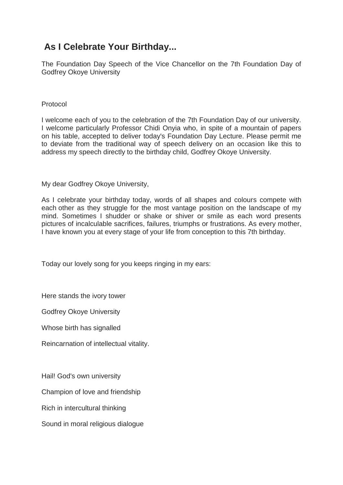## **As I Celebrate Your Birthday...**

The Foundation Day Speech of the Vice Chancellor on the 7th Foundation Day of Godfrey Okoye University

## Protocol

I welcome each of you to the celebration of the 7th Foundation Day of our university. I welcome particularly Professor Chidi Onyia who, in spite of a mountain of papers on his table, accepted to deliver today's Foundation Day Lecture. Please permit me to deviate from the traditional way of speech delivery on an occasion like this to address my speech directly to the birthday child, Godfrey Okoye University.

My dear Godfrey Okoye University,

As I celebrate your birthday today, words of all shapes and colours compete with each other as they struggle for the most vantage position on the landscape of my mind. Sometimes I shudder or shake or shiver or smile as each word presents pictures of incalculable sacrifices, failures, triumphs or frustrations. As every mother, I have known you at every stage of your life from conception to this 7th birthday.

Today our lovely song for you keeps ringing in my ears:

Here stands the ivory tower

Godfrey Okoye University

Whose birth has signalled

Reincarnation of intellectual vitality.

Hail! God's own university

Champion of love and friendship

Rich in intercultural thinking

Sound in moral religious dialogue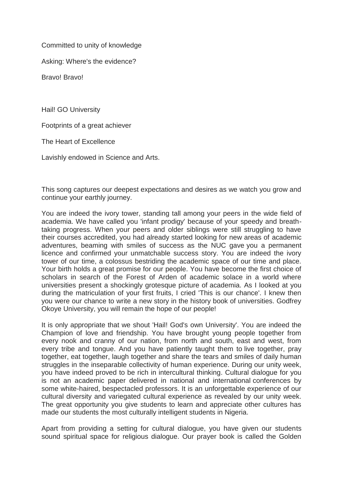Committed to unity of knowledge

Asking: Where's the evidence?

Bravo! Bravo!

Hail! GO University

Footprints of a great achiever

The Heart of Excellence

Lavishly endowed in Science and Arts.

This song captures our deepest expectations and desires as we watch you grow and continue your earthly journey.

You are indeed the ivory tower, standing tall among your peers in the wide field of academia. We have called you 'infant prodigy' because of your speedy and breathtaking progress. When your peers and older siblings were still struggling to have their courses accredited, you had already started looking for new areas of academic adventures, beaming with smiles of success as the NUC gave you a permanent licence and confirmed your unmatchable success story. You are indeed the ivory tower of our time, a colossus bestriding the academic space of our time and place. Your birth holds a great promise for our people. You have become the first choice of scholars in search of the Forest of Arden of academic solace in a world where universities present a shockingly grotesque picture of academia. As I looked at you during the matriculation of your first fruits, I cried 'This is our chance'. I knew then you were our chance to write a new story in the history book of universities. Godfrey Okoye University, you will remain the hope of our people!

It is only appropriate that we shout 'Hail! God's own University'. You are indeed the Champion of love and friendship. You have brought young people together from every nook and cranny of our nation, from north and south, east and west, from every tribe and tongue. And you have patiently taught them to live together, pray together, eat together, laugh together and share the tears and smiles of daily human struggles in the inseparable collectivity of human experience. During our unity week, you have indeed proved to be rich in intercultural thinking. Cultural dialogue for you is not an academic paper delivered in national and international conferences by some white-haired, bespectacled professors. It is an unforgettable experience of our cultural diversity and variegated cultural experience as revealed by our unity week. The great opportunity you give students to learn and appreciate other cultures has made our students the most culturally intelligent students in Nigeria.

Apart from providing a setting for cultural dialogue, you have given our students sound spiritual space for religious dialogue. Our prayer book is called the Golden